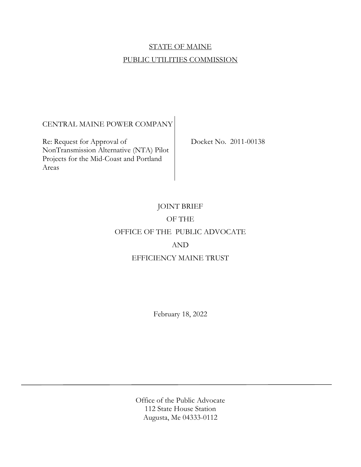# STATE OF MAINE PUBLIC UTILITIES COMMISSION

# CENTRAL MAINE POWER COMPANY

Re: Request for Approval of Docket No. 2011-00138 NonTransmission Alternative (NTA) Pilot Projects for the Mid-Coast and Portland Areas

# JOINT BRIEF OF THE OFFICE OF THE PUBLIC ADVOCATE AND EFFICIENCY MAINE TRUST

February 18, 2022

Office of the Public Advocate 112 State House Station Augusta, Me 04333-0112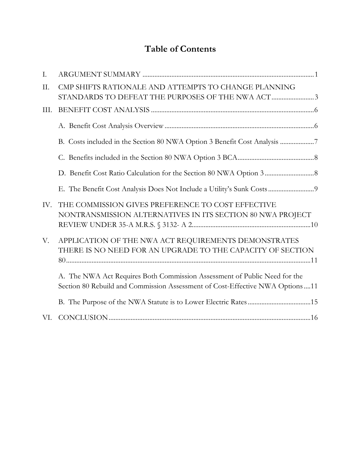# **Table of Contents**

| $\mathbf{I}$ . |                                                                                                                                                             |
|----------------|-------------------------------------------------------------------------------------------------------------------------------------------------------------|
| II.            | CMP SHIFTS RATIONALE AND ATTEMPTS TO CHANGE PLANNING<br>STANDARDS TO DEFEAT THE PURPOSES OF THE NWA ACT 3                                                   |
| III.           |                                                                                                                                                             |
|                |                                                                                                                                                             |
|                |                                                                                                                                                             |
|                |                                                                                                                                                             |
|                |                                                                                                                                                             |
|                |                                                                                                                                                             |
| IV.            | THE COMMISSION GIVES PREFERENCE TO COST EFFECTIVE<br>NONTRANSMISSION ALTERNATIVES IN ITS SECTION 80 NWA PROJECT                                             |
| V.             | APPLICATION OF THE NWA ACT REQUIREMENTS DEMONSTRATES<br>THERE IS NO NEED FOR AN UPGRADE TO THE CAPACITY OF SECTION                                          |
|                | A. The NWA Act Requires Both Commission Assessment of Public Need for the<br>Section 80 Rebuild and Commission Assessment of Cost-Effective NWA Options  11 |
|                |                                                                                                                                                             |
|                |                                                                                                                                                             |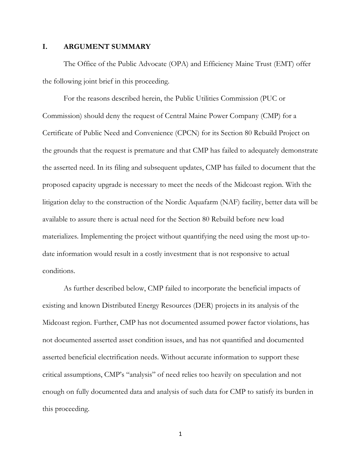#### **I. ARGUMENT SUMMARY**

The Office of the Public Advocate (OPA) and Efficiency Maine Trust (EMT) offer the following joint brief in this proceeding.

For the reasons described herein, the Public Utilities Commission (PUC or Commission) should deny the request of Central Maine Power Company (CMP) for a Certificate of Public Need and Convenience (CPCN) for its Section 80 Rebuild Project on the grounds that the request is premature and that CMP has failed to adequately demonstrate the asserted need. In its filing and subsequent updates, CMP has failed to document that the proposed capacity upgrade is necessary to meet the needs of the Midcoast region. With the litigation delay to the construction of the Nordic Aquafarm (NAF) facility, better data will be available to assure there is actual need for the Section 80 Rebuild before new load materializes. Implementing the project without quantifying the need using the most up-todate information would result in a costly investment that is not responsive to actual conditions.

As further described below, CMP failed to incorporate the beneficial impacts of existing and known Distributed Energy Resources (DER) projects in its analysis of the Midcoast region. Further, CMP has not documented assumed power factor violations, has not documented asserted asset condition issues, and has not quantified and documented asserted beneficial electrification needs. Without accurate information to support these critical assumptions, CMP's "analysis" of need relies too heavily on speculation and not enough on fully documented data and analysis of such data for CMP to satisfy its burden in this proceeding.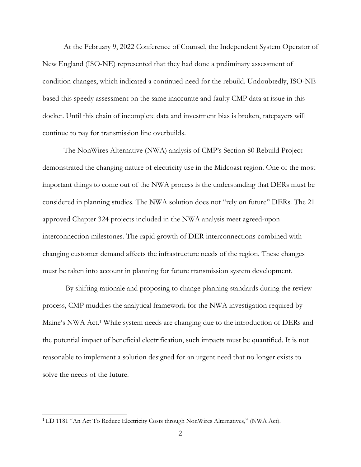At the February 9, 2022 Conference of Counsel, the Independent System Operator of New England (ISO-NE) represented that they had done a preliminary assessment of condition changes, which indicated a continued need for the rebuild. Undoubtedly, ISO-NE based this speedy assessment on the same inaccurate and faulty CMP data at issue in this docket. Until this chain of incomplete data and investment bias is broken, ratepayers will continue to pay for transmission line overbuilds.

The NonWires Alternative (NWA) analysis of CMP's Section 80 Rebuild Project demonstrated the changing nature of electricity use in the Midcoast region. One of the most important things to come out of the NWA process is the understanding that DERs must be considered in planning studies. The NWA solution does not "rely on future" DERs. The 21 approved Chapter 324 projects included in the NWA analysis meet agreed-upon interconnection milestones. The rapid growth of DER interconnections combined with changing customer demand affects the infrastructure needs of the region. These changes must be taken into account in planning for future transmission system development.

 By shifting rationale and proposing to change planning standards during the review process, CMP muddies the analytical framework for the NWA investigation required by Maine's NWA Act.<sup>1</sup> While system needs are changing due to the introduction of DERs and the potential impact of beneficial electrification, such impacts must be quantified. It is not reasonable to implement a solution designed for an urgent need that no longer exists to solve the needs of the future.

<sup>1</sup> LD 1181 "An Act To Reduce Electricity Costs through NonWires Alternatives," (NWA Act).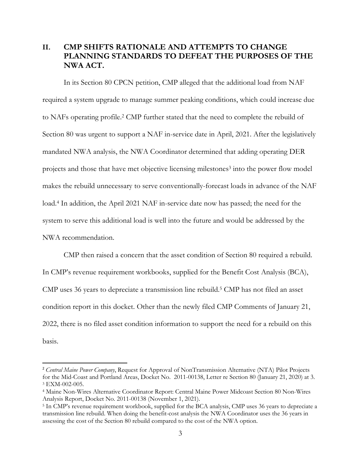## **II. CMP SHIFTS RATIONALE AND ATTEMPTS TO CHANGE PLANNING STANDARDS TO DEFEAT THE PURPOSES OF THE NWA ACT.**

In its Section 80 CPCN petition, CMP alleged that the additional load from NAF required a system upgrade to manage summer peaking conditions, which could increase due to NAFs operating profile.<sup>2</sup> CMP further stated that the need to complete the rebuild of Section 80 was urgent to support a NAF in-service date in April, 2021. After the legislatively mandated NWA analysis, the NWA Coordinator determined that adding operating DER projects and those that have met objective licensing milestones<sup>3</sup> into the power flow model makes the rebuild unnecessary to serve conventionally-forecast loads in advance of the NAF load.<sup>4</sup> In addition, the April 2021 NAF in-service date now has passed; the need for the system to serve this additional load is well into the future and would be addressed by the NWA recommendation.

CMP then raised a concern that the asset condition of Section 80 required a rebuild. In CMP's revenue requirement workbooks, supplied for the Benefit Cost Analysis (BCA), CMP uses 36 years to depreciate a transmission line rebuild.<sup>5</sup> CMP has not filed an asset condition report in this docket. Other than the newly filed CMP Comments of January 21, 2022, there is no filed asset condition information to support the need for a rebuild on this basis.

<sup>2</sup> *Central Maine Power Company*, Request for Approval of NonTransmission Alternative (NTA) Pilot Projects for the Mid-Coast and Portland Areas, Docket No. 2011-00138, Letter re Section 80 (January 21, 2020) at 3. 3 EXM-002-005.

<sup>4</sup> Maine Non-Wires Alternative Coordinator Report: Central Maine Power Midcoast Section 80 Non-Wires Analysis Report, Docket No. 2011-00138 (November 1, 2021).

<sup>5</sup> In CMP's revenue requirement workbook, supplied for the BCA analysis, CMP uses 36 years to depreciate a transmission line rebuild. When doing the benefit-cost analysis the NWA Coordinator uses the 36 years in assessing the cost of the Section 80 rebuild compared to the cost of the NWA option.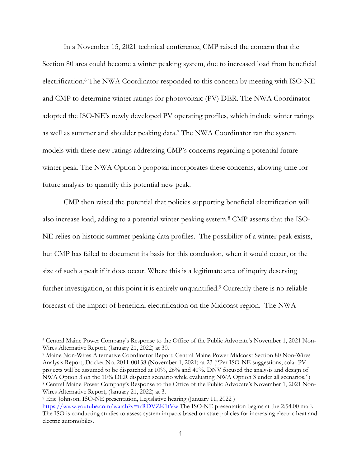In a November 15, 2021 technical conference, CMP raised the concern that the Section 80 area could become a winter peaking system, due to increased load from beneficial electrification.<sup>6</sup> The NWA Coordinator responded to this concern by meeting with ISO-NE and CMP to determine winter ratings for photovoltaic (PV) DER. The NWA Coordinator adopted the ISO-NE's newly developed PV operating profiles, which include winter ratings as well as summer and shoulder peaking data.<sup>7</sup> The NWA Coordinator ran the system models with these new ratings addressing CMP's concerns regarding a potential future winter peak. The NWA Option 3 proposal incorporates these concerns, allowing time for future analysis to quantify this potential new peak.

CMP then raised the potential that policies supporting beneficial electrification will also increase load, adding to a potential winter peaking system.<sup>8</sup> CMP asserts that the ISO-NE relies on historic summer peaking data profiles. The possibility of a winter peak exists, but CMP has failed to document its basis for this conclusion, when it would occur, or the size of such a peak if it does occur. Where this is a legitimate area of inquiry deserving further investigation, at this point it is entirely unquantified.<sup>9</sup> Currently there is no reliable forecast of the impact of beneficial electrification on the Midcoast region. The NWA

7 Maine Non-Wires Alternative Coordinator Report: Central Maine Power Midcoast Section 80 Non-Wires Analysis Report, Docket No. 2011-00138 (November 1, 2021) at 23 ("Per ISO-NE suggestions, solar PV projects will be assumed to be dispatched at 10%, 26% and 40%. DNV focused the analysis and design of NWA Option 3 on the 10% DER dispatch scenario while evaluating NWA Option 3 under all scenarios.") 8 Central Maine Power Company's Response to the Office of the Public Advocate's November 1, 2021 Non-Wires Alternative Report, (January 21, 2022) at 3.

<sup>6</sup> Central Maine Power Company's Response to the Office of the Public Advocate's November 1, 2021 Non-Wires Alternative Report, (January 21, 2022) at 30.

<sup>9</sup> Eric Johnson, ISO-NE presentation, Legislative hearing (January 11, 2022 ) https://www.youtube.com/watch?v=trRDVZK1tVw The ISO-NE presentation begins at the 2:54:00 mark. The ISO is conducting studies to assess system impacts based on state policies for increasing electric heat and electric automobiles.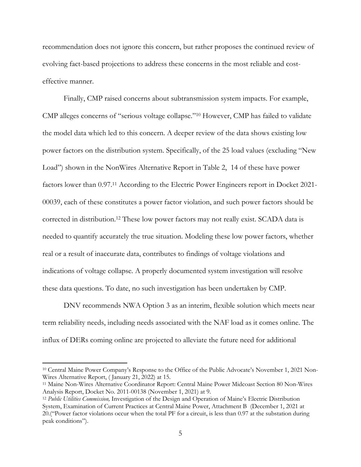recommendation does not ignore this concern, but rather proposes the continued review of evolving fact-based projections to address these concerns in the most reliable and costeffective manner.

Finally, CMP raised concerns about subtransmission system impacts. For example, CMP alleges concerns of "serious voltage collapse."10 However, CMP has failed to validate the model data which led to this concern. A deeper review of the data shows existing low power factors on the distribution system. Specifically, of the 25 load values (excluding "New Load") shown in the NonWires Alternative Report in Table 2, 14 of these have power factors lower than 0.97.11 According to the Electric Power Engineers report in Docket 2021- 00039, each of these constitutes a power factor violation, and such power factors should be corrected in distribution.12 These low power factors may not really exist. SCADA data is needed to quantify accurately the true situation. Modeling these low power factors, whether real or a result of inaccurate data, contributes to findings of voltage violations and indications of voltage collapse. A properly documented system investigation will resolve these data questions. To date, no such investigation has been undertaken by CMP.

DNV recommends NWA Option 3 as an interim, flexible solution which meets near term reliability needs, including needs associated with the NAF load as it comes online. The influx of DERs coming online are projected to alleviate the future need for additional

<sup>10</sup> Central Maine Power Company's Response to the Office of the Public Advocate's November 1, 2021 Non-Wires Alternative Report, ( January 21, 2022) at 15.

<sup>11</sup> Maine Non-Wires Alternative Coordinator Report: Central Maine Power Midcoast Section 80 Non-Wires Analysis Report, Docket No. 2011-00138 (November 1, 2021) at 9.

<sup>12</sup> *Public Utilities Commission,* Investigation of the Design and Operation of Maine's Electric Distribution System, Examination of Current Practices at Central Maine Power, Attachment B (December 1, 2021 at 20.("Power factor violations occur when the total PF for a circuit, is less than 0.97 at the substation during peak conditions").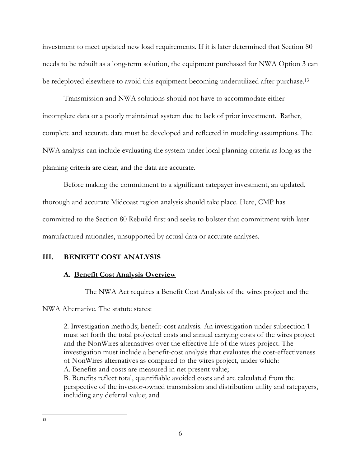investment to meet updated new load requirements. If it is later determined that Section 80 needs to be rebuilt as a long-term solution, the equipment purchased for NWA Option 3 can be redeployed elsewhere to avoid this equipment becoming underutilized after purchase.<sup>13</sup>

Transmission and NWA solutions should not have to accommodate either incomplete data or a poorly maintained system due to lack of prior investment. Rather, complete and accurate data must be developed and reflected in modeling assumptions. The NWA analysis can include evaluating the system under local planning criteria as long as the planning criteria are clear, and the data are accurate.

Before making the commitment to a significant ratepayer investment, an updated, thorough and accurate Midcoast region analysis should take place. Here, CMP has committed to the Section 80 Rebuild first and seeks to bolster that commitment with later manufactured rationales, unsupported by actual data or accurate analyses.

### **III. BENEFIT COST ANALYSIS**

#### **A. Benefit Cost Analysis Overview**

The NWA Act requires a Benefit Cost Analysis of the wires project and the

NWA Alternative. The statute states:

2. Investigation methods; benefit-cost analysis. An investigation under subsection 1 must set forth the total projected costs and annual carrying costs of the wires project and the NonWires alternatives over the effective life of the wires project. The investigation must include a benefit-cost analysis that evaluates the cost-effectiveness of NonWires alternatives as compared to the wires project, under which: A. Benefits and costs are measured in net present value; B. Benefits reflect total, quantifiable avoided costs and are calculated from the perspective of the investor-owned transmission and distribution utility and ratepayers, including any deferral value; and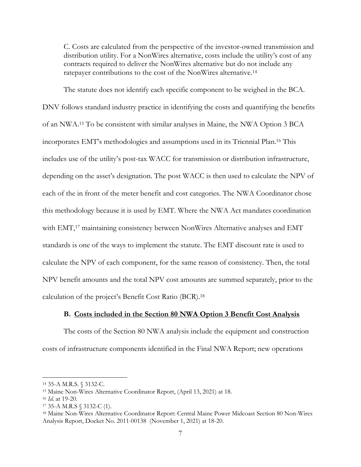C. Costs are calculated from the perspective of the investor-owned transmission and distribution utility. For a NonWires alternative, costs include the utility's cost of any contracts required to deliver the NonWires alternative but do not include any ratepayer contributions to the cost of the NonWires alternative.<sup>14</sup>

The statute does not identify each specific component to be weighed in the BCA. DNV follows standard industry practice in identifying the costs and quantifying the benefits of an NWA.15 To be consistent with similar analyses in Maine, the NWA Option 3 BCA incorporates EMT's methodologies and assumptions used in its Triennial Plan.16 This includes use of the utility's post-tax WACC for transmission or distribution infrastructure, depending on the asset's designation. The post WACC is then used to calculate the NPV of each of the in front of the meter benefit and cost categories. The NWA Coordinator chose this methodology because it is used by EMT. Where the NWA Act mandates coordination with EMT,<sup>17</sup> maintaining consistency between NonWires Alternative analyses and EMT standards is one of the ways to implement the statute. The EMT discount rate is used to calculate the NPV of each component, for the same reason of consistency. Then, the total NPV benefit amounts and the total NPV cost amounts are summed separately, prior to the calculation of the project's Benefit Cost Ratio (BCR).<sup>18</sup>

#### **B. Costs included in the Section 80 NWA Option 3 Benefit Cost Analysis**

 The costs of the Section 80 NWA analysis include the equipment and construction costs of infrastructure components identified in the Final NWA Report; new operations

<sup>14</sup> 35-A M.R.S. § 3132-C.

<sup>15</sup> Maine Non-Wires Alternative Coordinator Report, (April 13, 2021) at 18.

<sup>16</sup> *Id*. at 19-20.

<sup>17</sup> 35-A M.R.S § 3132-C (1).

<sup>18</sup> Maine Non-Wires Alternative Coordinator Report: Central Maine Power Midcoast Section 80 Non-Wires Analysis Report, Docket No. 2011-00138 (November 1, 2021) at 18-20.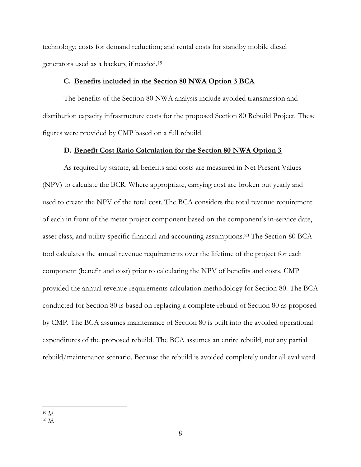technology; costs for demand reduction; and rental costs for standby mobile diesel generators used as a backup, if needed.<sup>19</sup>

#### **C. Benefits included in the Section 80 NWA Option 3 BCA**

 The benefits of the Section 80 NWA analysis include avoided transmission and distribution capacity infrastructure costs for the proposed Section 80 Rebuild Project. These figures were provided by CMP based on a full rebuild.

#### **D. Benefit Cost Ratio Calculation for the Section 80 NWA Option 3**

As required by statute, all benefits and costs are measured in Net Present Values (NPV) to calculate the BCR. Where appropriate, carrying cost are broken out yearly and used to create the NPV of the total cost. The BCA considers the total revenue requirement of each in front of the meter project component based on the component's in-service date, asset class, and utility-specific financial and accounting assumptions.20 The Section 80 BCA tool calculates the annual revenue requirements over the lifetime of the project for each component (benefit and cost) prior to calculating the NPV of benefits and costs. CMP provided the annual revenue requirements calculation methodology for Section 80. The BCA conducted for Section 80 is based on replacing a complete rebuild of Section 80 as proposed by CMP. The BCA assumes maintenance of Section 80 is built into the avoided operational expenditures of the proposed rebuild. The BCA assumes an entire rebuild, not any partial rebuild/maintenance scenario. Because the rebuild is avoided completely under all evaluated

<sup>19</sup> *Id. 20 Id*.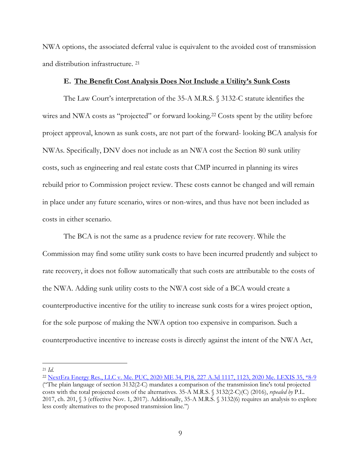NWA options, the associated deferral value is equivalent to the avoided cost of transmission and distribution infrastructure. <sup>21</sup>

#### **E. The Benefit Cost Analysis Does Not Include a Utility's Sunk Costs**

The Law Court's interpretation of the 35-A M.R.S. § 3132-C statute identifies the wires and NWA costs as "projected" or forward looking.<sup>22</sup> Costs spent by the utility before project approval, known as sunk costs, are not part of the forward- looking BCA analysis for NWAs. Specifically, DNV does not include as an NWA cost the Section 80 sunk utility costs, such as engineering and real estate costs that CMP incurred in planning its wires rebuild prior to Commission project review. These costs cannot be changed and will remain in place under any future scenario, wires or non-wires, and thus have not been included as costs in either scenario.

The BCA is not the same as a prudence review for rate recovery. While the Commission may find some utility sunk costs to have been incurred prudently and subject to rate recovery, it does not follow automatically that such costs are attributable to the costs of the NWA. Adding sunk utility costs to the NWA cost side of a BCA would create a counterproductive incentive for the utility to increase sunk costs for a wires project option, for the sole purpose of making the NWA option too expensive in comparison. Such a counterproductive incentive to increase costs is directly against the intent of the NWA Act,

<sup>21</sup> *Id.* 

<sup>&</sup>lt;sup>22</sup> NextEra Energy Res., LLC v. Me. PUC, 2020 ME 34, P18, 227 A.3d 1117, 1123, 2020 Me. LEXIS 35, \*8-9 ("The plain language of section 3132(2-C) mandates a comparison of the transmission line's total projected costs with the total projected costs of the alternatives. 35-A M.R.S. § 3132(2-C)(C) (2016), *repealed by* P.L. 2017, ch. 201, § 3 (effective Nov. 1, 2017). Additionally, 35-A M.R.S. § 3132(6) requires an analysis to explore less costly alternatives to the proposed transmission line.")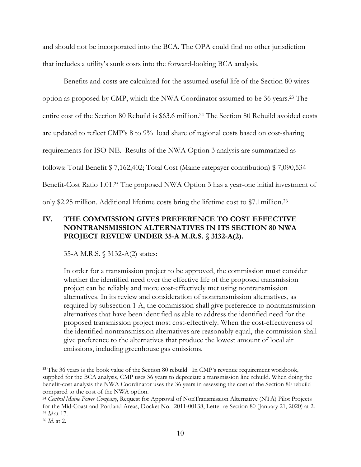and should not be incorporated into the BCA. The OPA could find no other jurisdiction that includes a utility's sunk costs into the forward-looking BCA analysis.

Benefits and costs are calculated for the assumed useful life of the Section 80 wires option as proposed by CMP, which the NWA Coordinator assumed to be 36 years.23 The entire cost of the Section 80 Rebuild is \$63.6 million.24 The Section 80 Rebuild avoided costs are updated to reflect CMP's 8 to 9% load share of regional costs based on cost-sharing requirements for ISO-NE. Results of the NWA Option 3 analysis are summarized as follows: Total Benefit \$ 7,162,402; Total Cost (Maine ratepayer contribution) \$ 7,090,534 Benefit-Cost Ratio 1.01.25 The proposed NWA Option 3 has a year-one initial investment of only \$2.25 million. Additional lifetime costs bring the lifetime cost to \$7.1million.<sup>26</sup>

## **IV. THE COMMISSION GIVES PREFERENCE TO COST EFFECTIVE NONTRANSMISSION ALTERNATIVES IN ITS SECTION 80 NWA PROJECT REVIEW UNDER 35-A M.R.S. § 3132-A(2).**

35-A M.R.S. § 3132-A(2) states:

In order for a transmission project to be approved, the commission must consider whether the identified need over the effective life of the proposed transmission project can be reliably and more cost-effectively met using nontransmission alternatives. In its review and consideration of nontransmission alternatives, as required by subsection 1 A, the commission shall give preference to nontransmission alternatives that have been identified as able to address the identified need for the proposed transmission project most cost-effectively. When the cost-effectiveness of the identified nontransmission alternatives are reasonably equal, the commission shall give preference to the alternatives that produce the lowest amount of local air emissions, including greenhouse gas emissions.

<sup>&</sup>lt;sup>23</sup> The 36 years is the book value of the Section 80 rebuild. In CMP's revenue requirement workbook, supplied for the BCA analysis, CMP uses 36 years to depreciate a transmission line rebuild. When doing the benefit-cost analysis the NWA Coordinator uses the 36 years in assessing the cost of the Section 80 rebuild compared to the cost of the NWA option.

<sup>24</sup> *Central Maine Power Company*, Request for Approval of NonTransmission Alternative (NTA) Pilot Projects for the Mid-Coast and Portland Areas, Docket No. 2011-00138, Letter re Section 80 (January 21, 2020) at 2. <sup>25</sup> *Id* at 17.

<sup>26</sup> *Id*. at 2.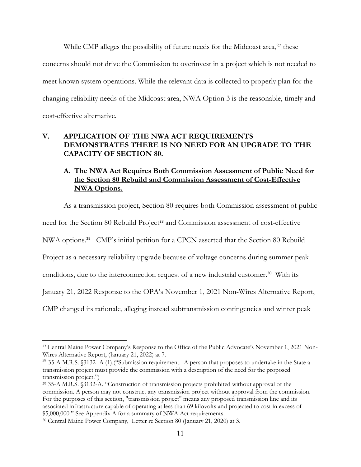While CMP alleges the possibility of future needs for the Midcoast area,<sup>27</sup> these concerns should not drive the Commission to overinvest in a project which is not needed to meet known system operations. While the relevant data is collected to properly plan for the changing reliability needs of the Midcoast area, NWA Option 3 is the reasonable, timely and cost-effective alternative.

### **V. APPLICATION OF THE NWA ACT REQUIREMENTS DEMONSTRATES THERE IS NO NEED FOR AN UPGRADE TO THE CAPACITY OF SECTION 80.**

## **A. The NWA Act Requires Both Commission Assessment of Public Need for the Section 80 Rebuild and Commission Assessment of Cost-Effective NWA Options.**

As a transmission project, Section 80 requires both Commission assessment of public

need for the Section 80 Rebuild Project<sup>28</sup> and Commission assessment of cost-effective

NWA options.<sup>29</sup> CMP's initial petition for a CPCN asserted that the Section 80 Rebuild

Project as a necessary reliability upgrade because of voltage concerns during summer peak

conditions, due to the interconnection request of a new industrial customer.<sup>30</sup> With its

January 21, 2022 Response to the OPA's November 1, 2021 Non-Wires Alternative Report,

CMP changed its rationale, alleging instead subtransmission contingencies and winter peak

<sup>&</sup>lt;sup>27</sup> Central Maine Power Company's Response to the Office of the Public Advocate's November 1, 2021 Non-Wires Alternative Report, (January 21, 2022) at 7.

<sup>&</sup>lt;sup>28</sup> 35-A M.R.S. §3132- A (1).("Submission requirement. A person that proposes to undertake in the State a transmission project must provide the commission with a description of the need for the proposed transmission project.")

<sup>29</sup> 35-A M.R.S. §3132-A. "Construction of transmission projects prohibited without approval of the commission. A person may not construct any transmission project without approval from the commission. For the purposes of this section, "transmission project" means any proposed transmission line and its associated infrastructure capable of operating at less than 69 kilovolts and projected to cost in excess of \$5,000,000." See Appendix A for a summary of NWA Act requirements.

<sup>30</sup> Central Maine Power Company, Letter re Section 80 (January 21, 2020) at 3.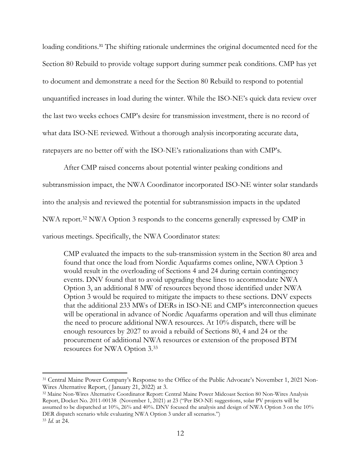loading conditions.<sup>31</sup> The shifting rationale undermines the original documented need for the Section 80 Rebuild to provide voltage support during summer peak conditions. CMP has yet to document and demonstrate a need for the Section 80 Rebuild to respond to potential unquantified increases in load during the winter. While the ISO-NE's quick data review over the last two weeks echoes CMP's desire for transmission investment, there is no record of what data ISO-NE reviewed. Without a thorough analysis incorporating accurate data, ratepayers are no better off with the ISO-NE's rationalizations than with CMP's.

After CMP raised concerns about potential winter peaking conditions and subtransmission impact, the NWA Coordinator incorporated ISO-NE winter solar standards into the analysis and reviewed the potential for subtransmission impacts in the updated NWA report.32 NWA Option 3 responds to the concerns generally expressed by CMP in various meetings. Specifically, the NWA Coordinator states:

CMP evaluated the impacts to the sub-transmission system in the Section 80 area and found that once the load from Nordic Aquafarms comes online, NWA Option 3 would result in the overloading of Sections 4 and 24 during certain contingency events. DNV found that to avoid upgrading these lines to accommodate NWA Option 3, an additional 8 MW of resources beyond those identified under NWA Option 3 would be required to mitigate the impacts to these sections. DNV expects that the additional 233 MWs of DERs in ISO-NE and CMP's interconnection queues will be operational in advance of Nordic Aquafarms operation and will thus eliminate the need to procure additional NWA resources. At 10% dispatch, there will be enough resources by 2027 to avoid a rebuild of Sections 80, 4 and 24 or the procurement of additional NWA resources or extension of the proposed BTM resources for NWA Option 3.<sup>33</sup>

<sup>31</sup> Central Maine Power Company's Response to the Office of the Public Advocate's November 1, 2021 Non-Wires Alternative Report, ( January 21, 2022) at 3.

<sup>32</sup> Maine Non-Wires Alternative Coordinator Report: Central Maine Power Midcoast Section 80 Non-Wires Analysis Report, Docket No. 2011-00138 (November 1, 2021) at 23 ("Per ISO-NE suggestions, solar PV projects will be assumed to be dispatched at 10%, 26% and 40%. DNV focused the analysis and design of NWA Option 3 on the 10% DER dispatch scenario while evaluating NWA Option 3 under all scenarios.") <sup>33</sup> *Id.* at 24.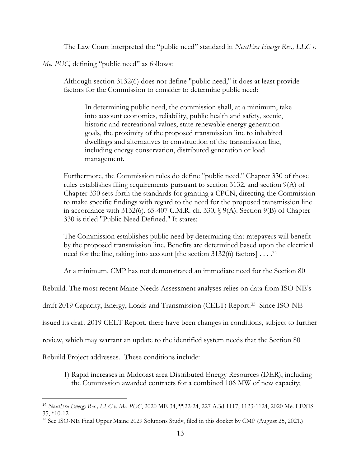The Law Court interpreted the "public need" standard in *NextEra Energy Res., LLC v.* 

*Me. PUC, defining "public need" as follows:* 

Although section 3132(6) does not define "public need," it does at least provide factors for the Commission to consider to determine public need:

In determining public need, the commission shall, at a minimum, take into account economics, reliability, public health and safety, scenic, historic and recreational values, state renewable energy generation goals, the proximity of the proposed transmission line to inhabited dwellings and alternatives to construction of the transmission line, including energy conservation, distributed generation or load management.

Furthermore, the Commission rules do define "public need." Chapter 330 of those rules establishes filing requirements pursuant to section 3132, and section 9(A) of Chapter 330 sets forth the standards for granting a CPCN, directing the Commission to make specific findings with regard to the need for the proposed transmission line in accordance with 3132(6). 65-407 C.M.R. ch. 330, § 9(A). Section 9(B) of Chapter 330 is titled "Public Need Defined." It states:

The Commission establishes public need by determining that ratepayers will benefit by the proposed transmission line. Benefits are determined based upon the electrical need for the line, taking into account [the section 3132(6) factors] . . . .<sup>34</sup>

At a minimum, CMP has not demonstrated an immediate need for the Section 80

Rebuild. The most recent Maine Needs Assessment analyses relies on data from ISO-NE's

draft 2019 Capacity, Energy, Loads and Transmission (CELT) Report.35 Since ISO-NE

issued its draft 2019 CELT Report, there have been changes in conditions, subject to further

review, which may warrant an update to the identified system needs that the Section 80

Rebuild Project addresses. These conditions include:

1) Rapid increases in Midcoast area Distributed Energy Resources (DER), including the Commission awarded contracts for a combined 106 MW of new capacity;

<sup>34</sup> *NextEra Energy Res., LLC v. Me. PUC*, 2020 ME 34, ¶¶22-24, 227 A.3d 1117, 1123-1124, 2020 Me. LEXIS 35, \*10-12

<sup>35</sup> See ISO-NE Final Upper Maine 2029 Solutions Study, filed in this docket by CMP (August 25, 2021.)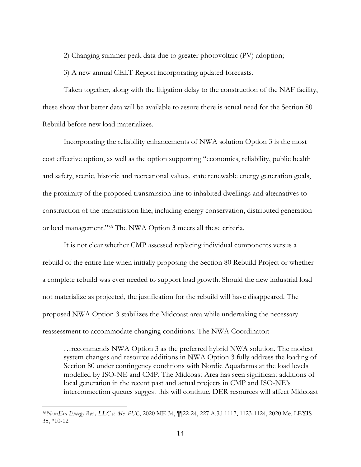2) Changing summer peak data due to greater photovoltaic (PV) adoption;

3) A new annual CELT Report incorporating updated forecasts.

Taken together, along with the litigation delay to the construction of the NAF facility, these show that better data will be available to assure there is actual need for the Section 80 Rebuild before new load materializes.

Incorporating the reliability enhancements of NWA solution Option 3 is the most cost effective option, as well as the option supporting "economics, reliability, public health and safety, scenic, historic and recreational values, state renewable energy generation goals, the proximity of the proposed transmission line to inhabited dwellings and alternatives to construction of the transmission line, including energy conservation, distributed generation or load management."36 The NWA Option 3 meets all these criteria.

It is not clear whether CMP assessed replacing individual components versus a rebuild of the entire line when initially proposing the Section 80 Rebuild Project or whether a complete rebuild was ever needed to support load growth. Should the new industrial load not materialize as projected, the justification for the rebuild will have disappeared. The proposed NWA Option 3 stabilizes the Midcoast area while undertaking the necessary reassessment to accommodate changing conditions. The NWA Coordinator:

…recommends NWA Option 3 as the preferred hybrid NWA solution. The modest system changes and resource additions in NWA Option 3 fully address the loading of Section 80 under contingency conditions with Nordic Aquafarms at the load levels modelled by ISO-NE and CMP. The Midcoast Area has seen significant additions of local generation in the recent past and actual projects in CMP and ISO-NE's interconnection queues suggest this will continue. DER resources will affect Midcoast

<sup>36</sup>*NextEra Energy Res., LLC v. Me. PUC*, 2020 ME 34, ¶¶22-24, 227 A.3d 1117, 1123-1124, 2020 Me. LEXIS 35, \*10-12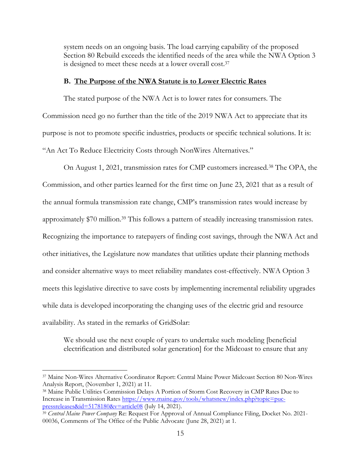system needs on an ongoing basis. The load carrying capability of the proposed Section 80 Rebuild exceeds the identified needs of the area while the NWA Option 3 is designed to meet these needs at a lower overall cost.<sup>37</sup>

#### **B. The Purpose of the NWA Statute is to Lower Electric Rates**

 The stated purpose of the NWA Act is to lower rates for consumers. The Commission need go no further than the title of the 2019 NWA Act to appreciate that its purpose is not to promote specific industries, products or specific technical solutions. It is: "An Act To Reduce Electricity Costs through NonWires Alternatives."

On August 1, 2021, transmission rates for CMP customers increased.38 The OPA, the Commission, and other parties learned for the first time on June 23, 2021 that as a result of the annual formula transmission rate change, CMP's transmission rates would increase by approximately \$70 million.39 This follows a pattern of steadily increasing transmission rates. Recognizing the importance to ratepayers of finding cost savings, through the NWA Act and other initiatives, the Legislature now mandates that utilities update their planning methods and consider alternative ways to meet reliability mandates cost-effectively. NWA Option 3 meets this legislative directive to save costs by implementing incremental reliability upgrades while data is developed incorporating the changing uses of the electric grid and resource availability. As stated in the remarks of GridSolar:

We should use the next couple of years to undertake such modeling [beneficial electrification and distributed solar generation] for the Midcoast to ensure that any

<sup>37</sup> Maine Non-Wires Alternative Coordinator Report: Central Maine Power Midcoast Section 80 Non-Wires Analysis Report, (November 1, 2021) at 11.

<sup>38</sup> Maine Public Utilities Commission Delays A Portion of Storm Cost Recovery in CMP Rates Due to Increase in Transmission Rates https://www.maine.gov/tools/whatsnew/index.php?topic=pucpressreleases&id=5178180&v=article08 (July 14, 2021).

<sup>39</sup> *Central Maine Power Company* Re: Request For Approval of Annual Compliance Filing, Docket No. 2021- 00036, Comments of The Office of the Public Advocate (June 28, 2021) at 1.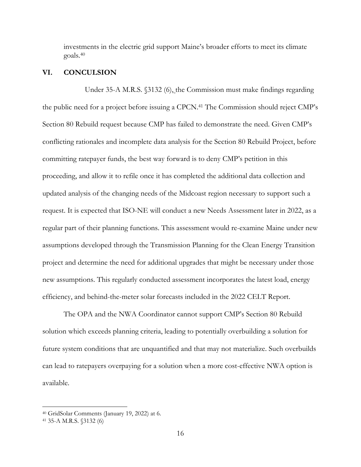investments in the electric grid support Maine's broader efforts to meet its climate goals.<sup>40</sup>

#### **VI. CONCULSION**

 Under 35-A M.R.S. §3132 (6), the Commission must make findings regarding the public need for a project before issuing a CPCN. <sup>41</sup> The Commission should reject CMP's Section 80 Rebuild request because CMP has failed to demonstrate the need. Given CMP's conflicting rationales and incomplete data analysis for the Section 80 Rebuild Project, before committing ratepayer funds, the best way forward is to deny CMP's petition in this proceeding, and allow it to refile once it has completed the additional data collection and updated analysis of the changing needs of the Midcoast region necessary to support such a request. It is expected that ISO-NE will conduct a new Needs Assessment later in 2022, as a regular part of their planning functions. This assessment would re-examine Maine under new assumptions developed through the Transmission Planning for the Clean Energy Transition project and determine the need for additional upgrades that might be necessary under those new assumptions. This regularly conducted assessment incorporates the latest load, energy efficiency, and behind-the-meter solar forecasts included in the 2022 CELT Report.

The OPA and the NWA Coordinator cannot support CMP's Section 80 Rebuild solution which exceeds planning criteria, leading to potentially overbuilding a solution for future system conditions that are unquantified and that may not materialize. Such overbuilds can lead to ratepayers overpaying for a solution when a more cost-effective NWA option is available.

<sup>40</sup> GridSolar Comments (January 19, 2022) at 6.

<sup>41</sup> 35-A M.R.S. §3132 (6)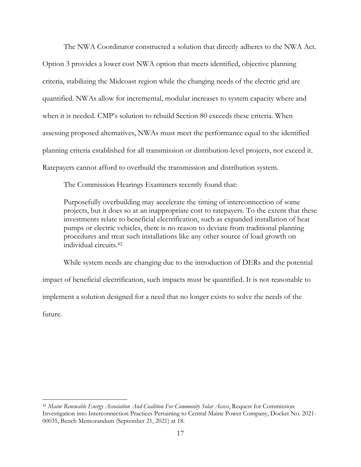The NWA Coordinator constructed a solution that directly adheres to the NWA Act. Option 3 provides a lower cost NWA option that meets identified, objective planning criteria, stabilizing the Midcoast region while the changing needs of the electric grid are quantified. NWAs allow for incremental, modular increases to system capacity where and when it is needed. CMP's solution to rebuild Section 80 exceeds these criteria. When assessing proposed alternatives, NWAs must meet the performance equal to the identified planning criteria established for all transmission or distribution-level projects, not exceed it. Ratepayers cannot afford to overbuild the transmission and distribution system.

The Commission Hearings Examiners recently found that:

Purposefully overbuilding may accelerate the timing of interconnection of some projects, but it does so at an inappropriate cost to ratepayers. To the extent that these investments relate to beneficial electrification, such as expanded installation of heat pumps or electric vehicles, there is no reason to deviate from traditional planning procedures and treat such installations like any other source of load growth on individual circuits.<sup>42</sup>

While system needs are changing due to the introduction of DERs and the potential impact of beneficial electrification, such impacts must be quantified. It is not reasonable to implement a solution designed for a need that no longer exists to solve the needs of the future.

<sup>42</sup> *Maine Renewable Energy Association And Coalition For Community Solar Access*, Request for Commission Investigation into Interconnection Practices Pertaining to Central Maine Power Company, Docket No. 2021- 00035, Bench Memorandum (September 21, 2021) at 18.